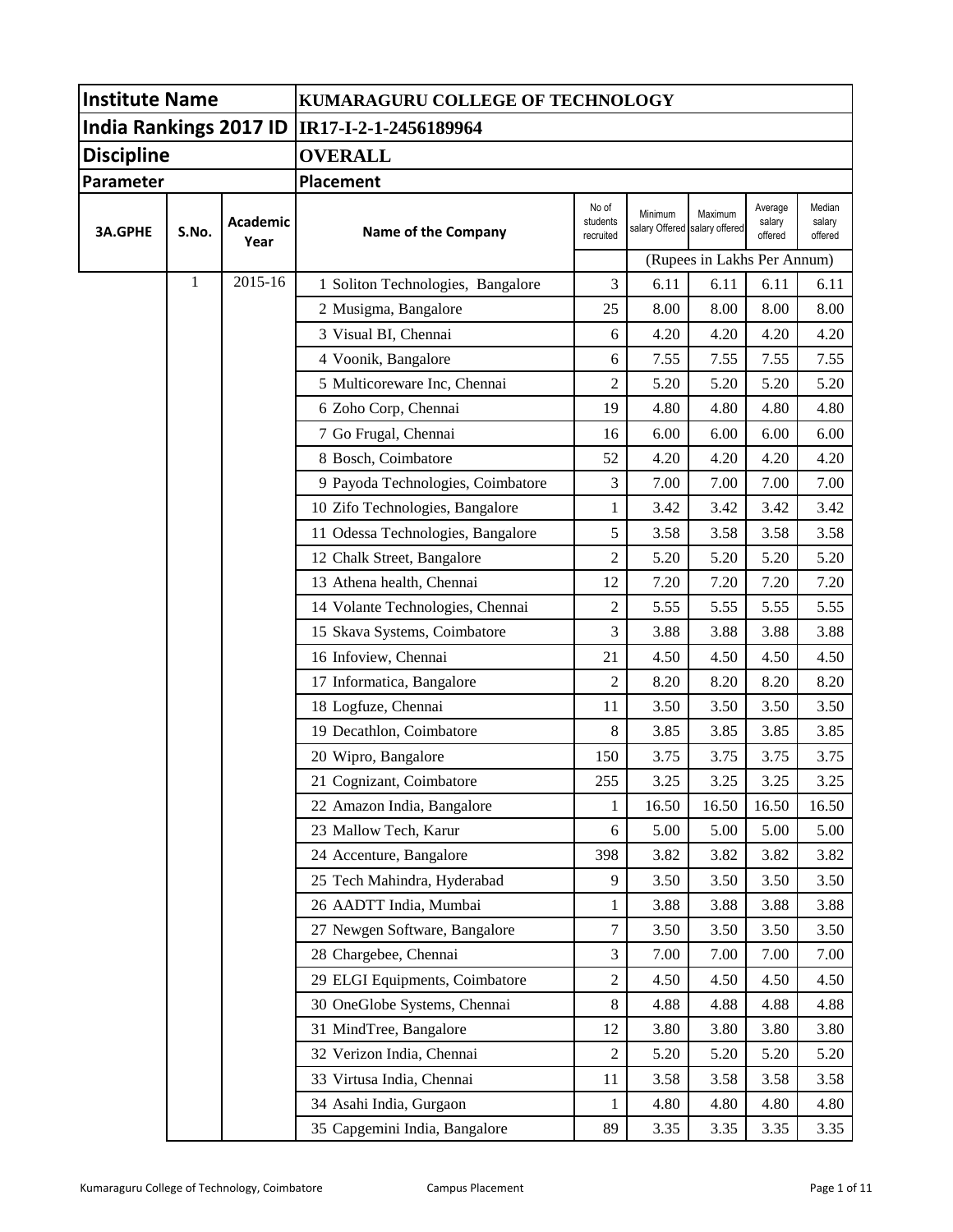| <b>Institute Name</b> |       |                  | KUMARAGURU COLLEGE OF TECHNOLOGY               |                                |                                          |                             |                              |                             |  |
|-----------------------|-------|------------------|------------------------------------------------|--------------------------------|------------------------------------------|-----------------------------|------------------------------|-----------------------------|--|
|                       |       |                  | India Rankings 2017 ID   IR17-I-2-1-2456189964 |                                |                                          |                             |                              |                             |  |
| <b>Discipline</b>     |       |                  | <b>OVERALL</b>                                 |                                |                                          |                             |                              |                             |  |
| Parameter             |       |                  | <b>Placement</b>                               |                                |                                          |                             |                              |                             |  |
| <b>3A.GPHE</b>        | S.No. | Academic<br>Year | Name of the Company                            | No of<br>students<br>recruited | Minimum<br>salary Offered salary offered | Maximum                     | Average<br>salary<br>offered | Median<br>salary<br>offered |  |
|                       |       |                  |                                                |                                |                                          | (Rupees in Lakhs Per Annum) |                              |                             |  |
|                       | 1     | 2015-16          | 1 Soliton Technologies, Bangalore              | 3                              | 6.11                                     | 6.11                        | 6.11                         | 6.11                        |  |
|                       |       |                  | 2 Musigma, Bangalore                           | 25                             | 8.00                                     | 8.00                        | 8.00                         | 8.00                        |  |
|                       |       |                  | 3 Visual BI, Chennai                           | 6                              | 4.20                                     | 4.20                        | 4.20                         | 4.20                        |  |
|                       |       |                  | 4 Voonik, Bangalore                            | 6                              | 7.55                                     | 7.55                        | 7.55                         | 7.55                        |  |
|                       |       |                  | 5 Multicoreware Inc, Chennai                   | $\overline{c}$                 | 5.20                                     | 5.20                        | 5.20                         | 5.20                        |  |
|                       |       |                  | 6 Zoho Corp, Chennai                           | 19                             | 4.80                                     | 4.80                        | 4.80                         | 4.80                        |  |
|                       |       |                  | 7 Go Frugal, Chennai                           | 16                             | 6.00                                     | 6.00                        | 6.00                         | 6.00                        |  |
|                       |       |                  | 8 Bosch, Coimbatore                            | 52                             | 4.20                                     | 4.20                        | 4.20                         | 4.20                        |  |
|                       |       |                  | 9 Payoda Technologies, Coimbatore              | 3                              | 7.00                                     | 7.00                        | 7.00                         | 7.00                        |  |
|                       |       |                  | 10 Zifo Technologies, Bangalore                | 1                              | 3.42                                     | 3.42                        | 3.42                         | 3.42                        |  |
|                       |       |                  | 11 Odessa Technologies, Bangalore              | 5                              | 3.58                                     | 3.58                        | 3.58                         | 3.58                        |  |
|                       |       |                  | 12 Chalk Street, Bangalore                     | $\overline{2}$                 | 5.20                                     | 5.20                        | 5.20                         | 5.20                        |  |
|                       |       |                  | 13 Athena health, Chennai                      | 12                             | 7.20                                     | 7.20                        | 7.20                         | 7.20                        |  |
|                       |       |                  | 14 Volante Technologies, Chennai               | $\overline{c}$                 | 5.55                                     | 5.55                        | 5.55                         | 5.55                        |  |
|                       |       |                  | 15 Skava Systems, Coimbatore                   | 3                              | 3.88                                     | 3.88                        | 3.88                         | 3.88                        |  |
|                       |       |                  | 16 Infoview, Chennai                           | 21                             | 4.50                                     | 4.50                        | 4.50                         | 4.50                        |  |
|                       |       |                  | 17 Informatica, Bangalore                      | $\overline{2}$                 | 8.20                                     | 8.20                        | 8.20                         | 8.20                        |  |
|                       |       |                  | 18 Logfuze, Chennai                            | 11                             | 3.50                                     | 3.50                        | 3.50                         | 3.50                        |  |
|                       |       |                  | 19 Decathlon, Coimbatore                       | 8                              | 3.85                                     | 3.85                        | 3.85                         | 3.85                        |  |
|                       |       |                  | 20 Wipro, Bangalore                            | 150                            | 3.75                                     | 3.75                        | 3.75                         | 3.75                        |  |
|                       |       |                  | 21 Cognizant, Coimbatore                       | 255                            | 3.25                                     | 3.25                        | 3.25                         | 3.25                        |  |
|                       |       |                  | 22 Amazon India, Bangalore                     | 1                              | 16.50                                    | 16.50                       | 16.50                        | 16.50                       |  |
|                       |       |                  | 23 Mallow Tech, Karur                          | 6                              | 5.00                                     | 5.00                        | 5.00                         | 5.00                        |  |
|                       |       |                  | 24 Accenture, Bangalore                        | 398                            | 3.82                                     | 3.82                        | 3.82                         | 3.82                        |  |
|                       |       |                  | 25 Tech Mahindra, Hyderabad                    | 9                              | 3.50                                     | 3.50                        | 3.50                         | 3.50                        |  |
|                       |       |                  | 26 AADTT India, Mumbai                         | 1                              | 3.88                                     | 3.88                        | 3.88                         | 3.88                        |  |
|                       |       |                  | 27 Newgen Software, Bangalore                  | 7                              | 3.50                                     | 3.50                        | 3.50                         | 3.50                        |  |
|                       |       |                  | 28 Chargebee, Chennai                          | 3                              | 7.00                                     | 7.00                        | 7.00                         | 7.00                        |  |
|                       |       |                  | 29 ELGI Equipments, Coimbatore                 | 2                              | 4.50                                     | 4.50                        | 4.50                         | 4.50                        |  |
|                       |       |                  | 30 OneGlobe Systems, Chennai                   | 8                              | 4.88                                     | 4.88                        | 4.88                         | 4.88                        |  |
|                       |       |                  | 31 MindTree, Bangalore                         | 12                             | 3.80                                     | 3.80                        | 3.80                         | 3.80                        |  |
|                       |       |                  | 32 Verizon India, Chennai                      | 2                              | 5.20                                     | 5.20                        | 5.20                         | 5.20                        |  |
|                       |       |                  | 33 Virtusa India, Chennai                      | 11                             | 3.58                                     | 3.58                        | 3.58                         | 3.58                        |  |
|                       |       |                  | 34 Asahi India, Gurgaon                        | 1                              | 4.80                                     | 4.80                        | 4.80                         | 4.80                        |  |
|                       |       |                  | 35 Capgemini India, Bangalore                  | 89                             | 3.35                                     | 3.35                        | 3.35                         | 3.35                        |  |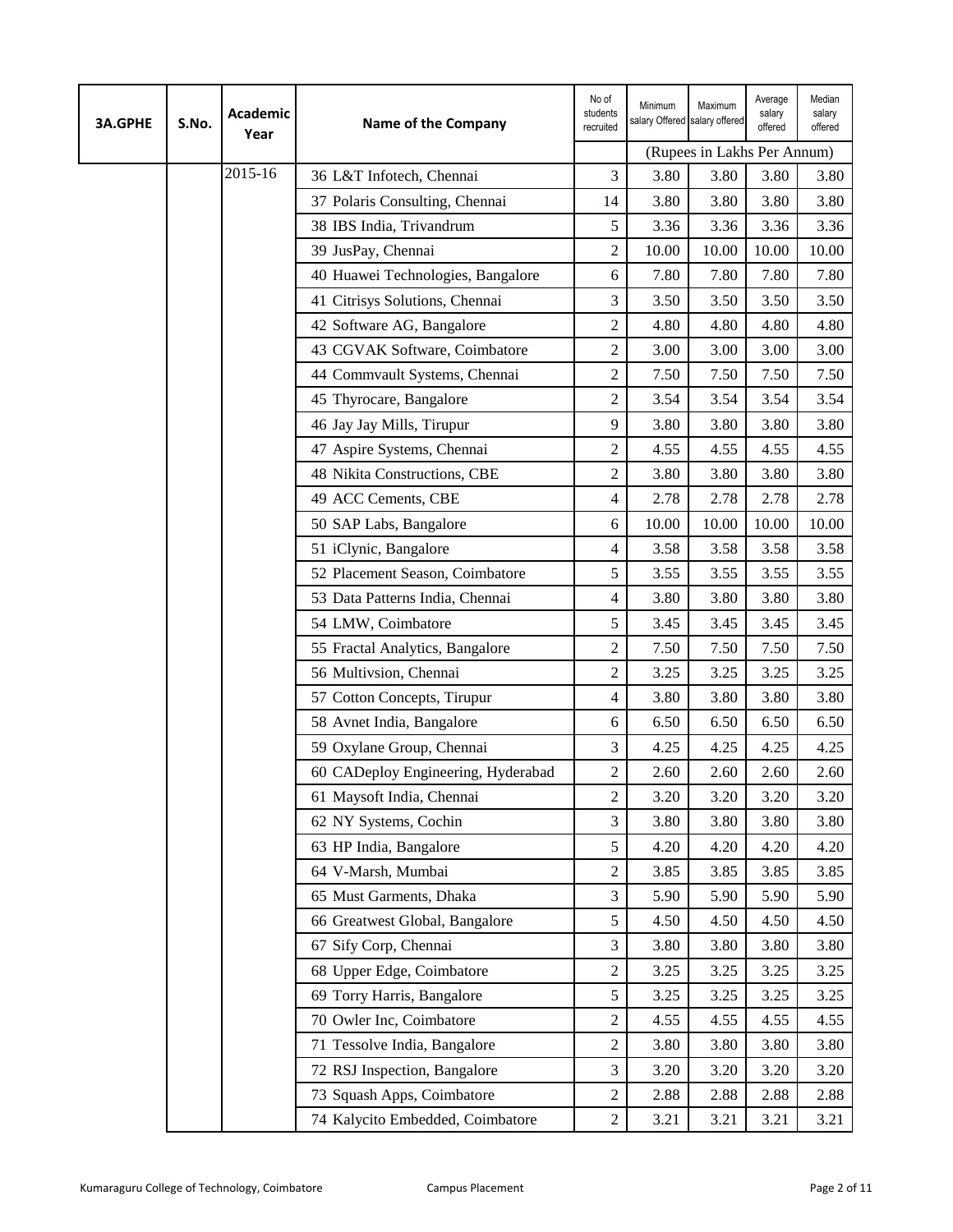| <b>3A.GPHE</b> | S.No. | <b>Academic</b><br>Year | Name of the Company                | No of<br>students<br>recruited | Minimum<br>salary Offered salary offered | Maximum                     | Average<br>salary<br>offered | Median<br>salary<br>offered |
|----------------|-------|-------------------------|------------------------------------|--------------------------------|------------------------------------------|-----------------------------|------------------------------|-----------------------------|
|                |       |                         |                                    |                                |                                          | (Rupees in Lakhs Per Annum) |                              |                             |
|                |       | 2015-16                 | 36 L&T Infotech, Chennai           | 3                              | 3.80                                     | 3.80                        | 3.80                         | 3.80                        |
|                |       |                         | 37 Polaris Consulting, Chennai     | 14                             | 3.80                                     | 3.80                        | 3.80                         | 3.80                        |
|                |       |                         | 38 IBS India, Trivandrum           | 5                              | 3.36                                     | 3.36                        | 3.36                         | 3.36                        |
|                |       |                         | 39 JusPay, Chennai                 | $\overline{c}$                 | 10.00                                    | 10.00                       | 10.00                        | 10.00                       |
|                |       |                         | 40 Huawei Technologies, Bangalore  | 6                              | 7.80                                     | 7.80                        | 7.80                         | 7.80                        |
|                |       |                         | 41 Citrisys Solutions, Chennai     | 3                              | 3.50                                     | 3.50                        | 3.50                         | 3.50                        |
|                |       |                         | 42 Software AG, Bangalore          | $\overline{c}$                 | 4.80                                     | 4.80                        | 4.80                         | 4.80                        |
|                |       |                         | 43 CGVAK Software, Coimbatore      | $\overline{c}$                 | 3.00                                     | 3.00                        | 3.00                         | 3.00                        |
|                |       |                         | 44 Commvault Systems, Chennai      | $\overline{c}$                 | 7.50                                     | 7.50                        | 7.50                         | 7.50                        |
|                |       |                         | 45 Thyrocare, Bangalore            | $\overline{c}$                 | 3.54                                     | 3.54                        | 3.54                         | 3.54                        |
|                |       |                         | 46 Jay Jay Mills, Tirupur          | 9                              | 3.80                                     | 3.80                        | 3.80                         | 3.80                        |
|                |       |                         | 47 Aspire Systems, Chennai         | $\overline{c}$                 | 4.55                                     | 4.55                        | 4.55                         | 4.55                        |
|                |       |                         | 48 Nikita Constructions, CBE       | $\overline{c}$                 | 3.80                                     | 3.80                        | 3.80                         | 3.80                        |
|                |       |                         | 49 ACC Cements, CBE                | 4                              | 2.78                                     | 2.78                        | 2.78                         | 2.78                        |
|                |       |                         | 50 SAP Labs, Bangalore             | 6                              | 10.00                                    | 10.00                       | 10.00                        | 10.00                       |
|                |       |                         | 51 iClynic, Bangalore              | 4                              | 3.58                                     | 3.58                        | 3.58                         | 3.58                        |
|                |       |                         | 52 Placement Season, Coimbatore    | 5                              | 3.55                                     | 3.55                        | 3.55                         | 3.55                        |
|                |       |                         | 53 Data Patterns India, Chennai    | 4                              | 3.80                                     | 3.80                        | 3.80                         | 3.80                        |
|                |       |                         | 54 LMW, Coimbatore                 | 5                              | 3.45                                     | 3.45                        | 3.45                         | 3.45                        |
|                |       |                         | 55 Fractal Analytics, Bangalore    | 2                              | 7.50                                     | 7.50                        | 7.50                         | 7.50                        |
|                |       |                         | 56 Multivsion, Chennai             | $\overline{c}$                 | 3.25                                     | 3.25                        | 3.25                         | 3.25                        |
|                |       |                         | 57 Cotton Concepts, Tirupur        | 4                              | 3.80                                     | 3.80                        | 3.80                         | 3.80                        |
|                |       |                         | 58 Avnet India, Bangalore          | 6                              | 6.50                                     | 6.50                        | 6.50                         | 6.50                        |
|                |       |                         | 59 Oxylane Group, Chennai          | 3                              | 4.25                                     | 4.25                        | 4.25                         | 4.25                        |
|                |       |                         | 60 CADeploy Engineering, Hyderabad | $\overline{c}$                 | 2.60                                     | 2.60                        | 2.60                         | 2.60                        |
|                |       |                         | 61 Maysoft India, Chennai          | 2                              | 3.20                                     | 3.20                        | 3.20                         | 3.20                        |
|                |       |                         | 62 NY Systems, Cochin              | 3                              | 3.80                                     | 3.80                        | 3.80                         | 3.80                        |
|                |       |                         | 63 HP India, Bangalore             | 5                              | 4.20                                     | 4.20                        | 4.20                         | 4.20                        |
|                |       |                         | 64 V-Marsh, Mumbai                 | 2                              | 3.85                                     | 3.85                        | 3.85                         | 3.85                        |
|                |       |                         | 65 Must Garments, Dhaka            | 3                              | 5.90                                     | 5.90                        | 5.90                         | 5.90                        |
|                |       |                         | 66 Greatwest Global, Bangalore     | 5                              | 4.50                                     | 4.50                        | 4.50                         | 4.50                        |
|                |       |                         | 67 Sify Corp, Chennai              | 3                              | 3.80                                     | 3.80                        | 3.80                         | 3.80                        |
|                |       |                         | 68 Upper Edge, Coimbatore          | 2                              | 3.25                                     | 3.25                        | 3.25                         | 3.25                        |
|                |       |                         | 69 Torry Harris, Bangalore         | 5                              | 3.25                                     | 3.25                        | 3.25                         | 3.25                        |
|                |       |                         | 70 Owler Inc, Coimbatore           | $\overline{c}$                 | 4.55                                     | 4.55                        | 4.55                         | 4.55                        |
|                |       |                         | 71 Tessolve India, Bangalore       | $\overline{c}$                 | 3.80                                     | 3.80                        | 3.80                         | 3.80                        |
|                |       |                         | 72 RSJ Inspection, Bangalore       | 3                              | 3.20                                     | 3.20                        | 3.20                         | 3.20                        |
|                |       |                         | 73 Squash Apps, Coimbatore         | $\overline{c}$                 | 2.88                                     | 2.88                        | 2.88                         | 2.88                        |
|                |       |                         | 74 Kalycito Embedded, Coimbatore   | $\overline{c}$                 | 3.21                                     | 3.21                        | 3.21                         | 3.21                        |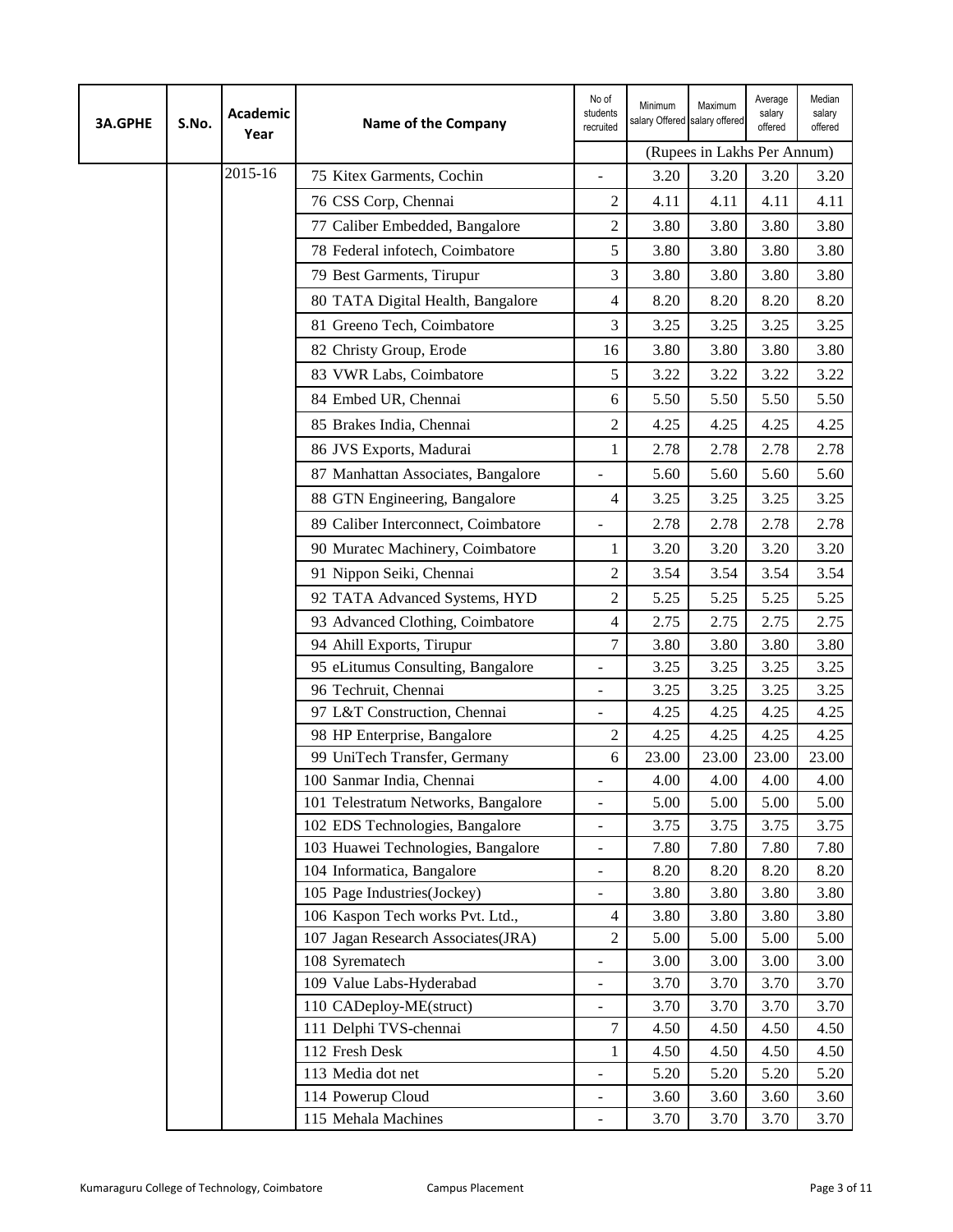| <b>3A.GPHE</b> | S.No. | <b>Academic</b><br>Year | <b>Name of the Company</b>             | No of<br>students<br>recruited | Minimum<br>salary Offered salary offered | Maximum                     | Average<br>salary<br>offered | Median<br>salary<br>offered |
|----------------|-------|-------------------------|----------------------------------------|--------------------------------|------------------------------------------|-----------------------------|------------------------------|-----------------------------|
|                |       |                         |                                        |                                |                                          | (Rupees in Lakhs Per Annum) |                              |                             |
|                |       | 2015-16                 | 75 Kitex Garments, Cochin              |                                | 3.20                                     | 3.20                        | 3.20                         | 3.20                        |
|                |       |                         | 76 CSS Corp, Chennai                   | 2                              | 4.11                                     | 4.11                        | 4.11                         | 4.11                        |
|                |       |                         | 77 Caliber Embedded, Bangalore         | $\overline{c}$                 | 3.80                                     | 3.80                        | 3.80                         | 3.80                        |
|                |       |                         | 78 Federal infotech, Coimbatore        | 5                              | 3.80                                     | 3.80                        | 3.80                         | 3.80                        |
|                |       |                         | 79 Best Garments, Tirupur              | 3                              | 3.80                                     | 3.80                        | 3.80                         | 3.80                        |
|                |       |                         | 80 TATA Digital Health, Bangalore      | 4                              | 8.20                                     | 8.20                        | 8.20                         | 8.20                        |
|                |       |                         | 81 Greeno Tech, Coimbatore             | 3                              | 3.25                                     | 3.25                        | 3.25                         | 3.25                        |
|                |       |                         | 82 Christy Group, Erode                | 16                             | 3.80                                     | 3.80                        | 3.80                         | 3.80                        |
|                |       |                         | 83 VWR Labs, Coimbatore                | 5                              | 3.22                                     | 3.22                        | 3.22                         | 3.22                        |
|                |       |                         | 84 Embed UR, Chennai                   | 6                              | 5.50                                     | 5.50                        | 5.50                         | 5.50                        |
|                |       |                         | 85 Brakes India, Chennai               | 2                              | 4.25                                     | 4.25                        | 4.25                         | 4.25                        |
|                |       |                         | 86 JVS Exports, Madurai                | 1                              | 2.78                                     | 2.78                        | 2.78                         | 2.78                        |
|                |       |                         | 87 Manhattan Associates, Bangalore     | $\overline{a}$                 | 5.60                                     | 5.60                        | 5.60                         | 5.60                        |
|                |       |                         | 88 GTN Engineering, Bangalore          | 4                              | 3.25                                     | 3.25                        | 3.25                         | 3.25                        |
|                |       |                         | 89 Caliber Interconnect, Coimbatore    |                                | 2.78                                     | 2.78                        | 2.78                         | 2.78                        |
|                |       |                         | 90 Muratec Machinery, Coimbatore       | $\mathbf{1}$                   | 3.20                                     | 3.20                        | 3.20                         | 3.20                        |
|                |       |                         | 91 Nippon Seiki, Chennai               | $\overline{2}$                 | 3.54                                     | 3.54                        | 3.54                         | 3.54                        |
|                |       |                         | 92 TATA Advanced Systems, HYD          | $\overline{c}$                 | 5.25                                     | 5.25                        | 5.25                         | 5.25                        |
|                |       |                         | 93 Advanced Clothing, Coimbatore       | 4                              | 2.75                                     | 2.75                        | 2.75                         | 2.75                        |
|                |       |                         | 94 Ahill Exports, Tirupur              | $\tau$                         | 3.80                                     | 3.80                        | 3.80                         | 3.80                        |
|                |       |                         | 95 eLitumus Consulting, Bangalore      | $\overline{\phantom{a}}$       | 3.25                                     | 3.25                        | 3.25                         | 3.25                        |
|                |       |                         | 96 Techruit, Chennai                   | ÷,                             | 3.25                                     | 3.25                        | 3.25                         | 3.25                        |
|                |       |                         | 97 L&T Construction, Chennai           | $\overline{\phantom{0}}$       | 4.25                                     | 4.25                        | 4.25                         | 4.25                        |
|                |       |                         | 98 HP Enterprise, Bangalore            | $\overline{2}$                 | 4.25                                     | 4.25                        | 4.25                         | 4.25                        |
|                |       |                         | 99 UniTech Transfer, Germany           | 6                              | 23.00                                    | 23.00                       | 23.00                        | 23.00                       |
|                |       |                         | 100 Sanmar India, Chennai              |                                | 4.00                                     | 4.00                        | 4.00                         | 4.00                        |
|                |       |                         | 101 Telestratum Networks, Bangalore    | $\overline{a}$                 | 5.00                                     | 5.00                        | 5.00                         | 5.00                        |
|                |       |                         | 102 EDS Technologies, Bangalore        | $\overline{\phantom{a}}$       | 3.75                                     | 3.75                        | 3.75                         | 3.75                        |
|                |       |                         | 103 Huawei Technologies, Bangalore     | $\overline{\phantom{0}}$       | 7.80                                     | 7.80                        | 7.80                         | 7.80                        |
|                |       |                         | 104 Informatica, Bangalore             | $\frac{1}{2}$                  | 8.20                                     | 8.20                        | 8.20                         | 8.20                        |
|                |       |                         | 105 Page Industries(Jockey)            | $\overline{a}$                 | 3.80                                     | 3.80                        | 3.80                         | 3.80                        |
|                |       |                         | 106 Kaspon Tech works Pvt. Ltd.,       | $\overline{4}$                 | 3.80                                     | 3.80                        | 3.80                         | 3.80                        |
|                |       |                         | 107 Jagan Research Associates(JRA)     | $\mathfrak{2}$                 | 5.00                                     | 5.00                        | 5.00                         | 5.00                        |
|                |       |                         | 108 Syrematech                         | $\overline{\phantom{0}}$       | 3.00                                     | 3.00                        | 3.00                         | 3.00                        |
|                |       |                         | 109 Value Labs-Hyderabad               | $\overline{\phantom{a}}$       | 3.70                                     | 3.70                        | 3.70                         | 3.70                        |
|                |       |                         | 110 CADeploy-ME(struct)                | $\overline{a}$                 | 3.70                                     | 3.70                        | 3.70                         | 3.70                        |
|                |       |                         | 111 Delphi TVS-chennai                 | 7                              | 4.50                                     | 4.50                        | 4.50                         | 4.50                        |
|                |       |                         | 112 Fresh Desk                         | 1                              | 4.50                                     | 4.50                        | 4.50                         | 4.50                        |
|                |       |                         | 113 Media dot net<br>114 Powerup Cloud | $\overline{\phantom{m}}$       | 5.20                                     | 5.20<br>3.60                | 5.20<br>3.60                 | 5.20<br>3.60                |
|                |       |                         | 115 Mehala Machines                    | $\overline{\phantom{a}}$       | 3.60<br>3.70                             | 3.70                        | 3.70                         | 3.70                        |
|                |       |                         |                                        | -                              |                                          |                             |                              |                             |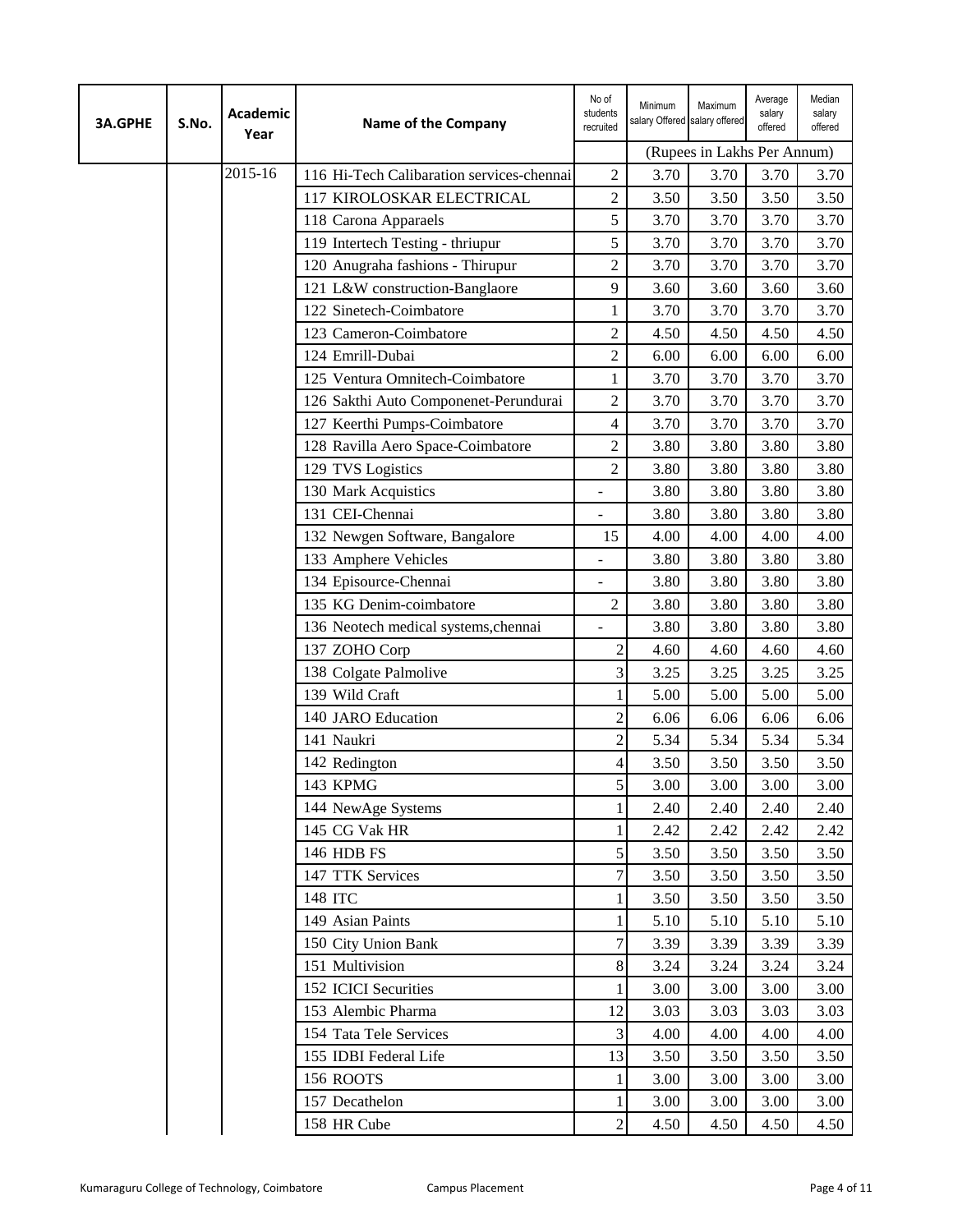| <b>3A.GPHE</b> | S.No. | Academic<br>Year | Name of the Company                       | No of<br>students<br>recruited | Minimum<br>salary Offered salary offered | Maximum                     | Average<br>salary<br>offered | Median<br>salary<br>offered |
|----------------|-------|------------------|-------------------------------------------|--------------------------------|------------------------------------------|-----------------------------|------------------------------|-----------------------------|
|                |       |                  |                                           |                                |                                          | (Rupees in Lakhs Per Annum) |                              |                             |
|                |       | 2015-16          | 116 Hi-Tech Calibaration services-chennai | 2                              | 3.70                                     | 3.70                        | 3.70                         | 3.70                        |
|                |       |                  | 117 KIROLOSKAR ELECTRICAL                 | $\overline{c}$                 | 3.50                                     | 3.50                        | 3.50                         | 3.50                        |
|                |       |                  | 118 Carona Apparaels                      | 5                              | 3.70                                     | 3.70                        | 3.70                         | 3.70                        |
|                |       |                  | 119 Intertech Testing - thriupur          | 5                              | 3.70                                     | 3.70                        | 3.70                         | 3.70                        |
|                |       |                  | 120 Anugraha fashions - Thirupur          | $\overline{c}$                 | 3.70                                     | 3.70                        | 3.70                         | 3.70                        |
|                |       |                  | 121 L&W construction-Banglaore            | 9                              | 3.60                                     | 3.60                        | 3.60                         | 3.60                        |
|                |       |                  | 122 Sinetech-Coimbatore                   | 1                              | 3.70                                     | 3.70                        | 3.70                         | 3.70                        |
|                |       |                  | 123 Cameron-Coimbatore                    | 2                              | 4.50                                     | 4.50                        | 4.50                         | 4.50                        |
|                |       |                  | 124 Emrill-Dubai                          | $\overline{c}$                 | 6.00                                     | 6.00                        | 6.00                         | 6.00                        |
|                |       |                  | 125 Ventura Omnitech-Coimbatore           | 1                              | 3.70                                     | 3.70                        | 3.70                         | 3.70                        |
|                |       |                  | 126 Sakthi Auto Componenet-Perundurai     | 2                              | 3.70                                     | 3.70                        | 3.70                         | 3.70                        |
|                |       |                  | 127 Keerthi Pumps-Coimbatore              | 4                              | 3.70                                     | 3.70                        | 3.70                         | 3.70                        |
|                |       |                  | 128 Ravilla Aero Space-Coimbatore         | 2                              | 3.80                                     | 3.80                        | 3.80                         | 3.80                        |
|                |       |                  | 129 TVS Logistics                         | 2                              | 3.80                                     | 3.80                        | 3.80                         | 3.80                        |
|                |       |                  | 130 Mark Acquistics                       |                                | 3.80                                     | 3.80                        | 3.80                         | 3.80                        |
|                |       |                  | 131 CEI-Chennai                           |                                | 3.80                                     | 3.80                        | 3.80                         | 3.80                        |
|                |       |                  | 132 Newgen Software, Bangalore            | 15                             | 4.00                                     | 4.00                        | 4.00                         | 4.00                        |
|                |       |                  | 133 Amphere Vehicles                      |                                | 3.80                                     | 3.80                        | 3.80                         | 3.80                        |
|                |       |                  | 134 Episource-Chennai                     | L,                             | 3.80                                     | 3.80                        | 3.80                         | 3.80                        |
|                |       |                  | 135 KG Denim-coimbatore                   | 2                              | 3.80                                     | 3.80                        | 3.80                         | 3.80                        |
|                |       |                  | 136 Neotech medical systems, chennai      |                                | 3.80                                     | 3.80                        | 3.80                         | 3.80                        |
|                |       |                  | 137 ZOHO Corp                             | $\overline{c}$                 | 4.60                                     | 4.60                        | 4.60                         | 4.60                        |
|                |       |                  | 138 Colgate Palmolive                     | 3                              | 3.25                                     | 3.25                        | 3.25                         | 3.25                        |
|                |       |                  | 139 Wild Craft                            |                                | 5.00                                     | 5.00                        | 5.00                         | 5.00                        |
|                |       |                  | 140 JARO Education                        | $\overline{c}$                 | 6.06                                     | 6.06                        | 6.06                         | 6.06                        |
|                |       |                  | 141 Naukri                                | $\overline{c}$                 | 5.34                                     | 5.34                        | 5.34                         | 5.34                        |
|                |       |                  | 142 Redington                             | 4                              | 3.50                                     | 3.50                        | 3.50                         | 3.50                        |
|                |       |                  | 143 KPMG                                  | 5                              | 3.00                                     | 3.00                        | 3.00                         | 3.00                        |
|                |       |                  | 144 NewAge Systems                        | 1                              | 2.40                                     | 2.40                        | 2.40                         | 2.40                        |
|                |       |                  | 145 CG Vak HR                             | 1                              | 2.42                                     | 2.42                        | 2.42                         | 2.42                        |
|                |       |                  | 146 HDB FS                                | 5                              | 3.50                                     | 3.50                        | 3.50                         | 3.50                        |
|                |       |                  | 147 TTK Services                          | 7                              | 3.50                                     | 3.50                        | 3.50                         | 3.50                        |
|                |       |                  | 148 ITC                                   | 1                              | 3.50                                     | 3.50                        | 3.50                         | 3.50                        |
|                |       |                  | 149 Asian Paints                          | 1                              | 5.10                                     | 5.10                        | 5.10                         | 5.10                        |
|                |       |                  | 150 City Union Bank                       | 7                              | 3.39                                     | 3.39                        | 3.39                         | 3.39                        |
|                |       |                  | 151 Multivision                           | 8                              | 3.24                                     | 3.24                        | 3.24                         | 3.24                        |
|                |       |                  | 152 ICICI Securities                      | 1                              | 3.00                                     | 3.00                        | 3.00                         | 3.00                        |
|                |       |                  | 153 Alembic Pharma                        | 12                             | 3.03                                     | 3.03                        | 3.03                         | 3.03                        |
|                |       |                  | 154 Tata Tele Services                    | 3                              | 4.00                                     | 4.00                        | 4.00                         | 4.00                        |
|                |       |                  | 155 IDBI Federal Life                     | 13                             | 3.50                                     | 3.50                        | 3.50                         | 3.50                        |
|                |       |                  | 156 ROOTS                                 | 1                              | 3.00                                     | 3.00                        | 3.00                         | 3.00                        |
|                |       |                  | 157 Decathelon                            |                                | 3.00                                     | 3.00                        | 3.00                         | 3.00                        |
|                |       |                  | 158 HR Cube                               | $\overline{c}$                 | 4.50                                     | 4.50                        | 4.50                         | 4.50                        |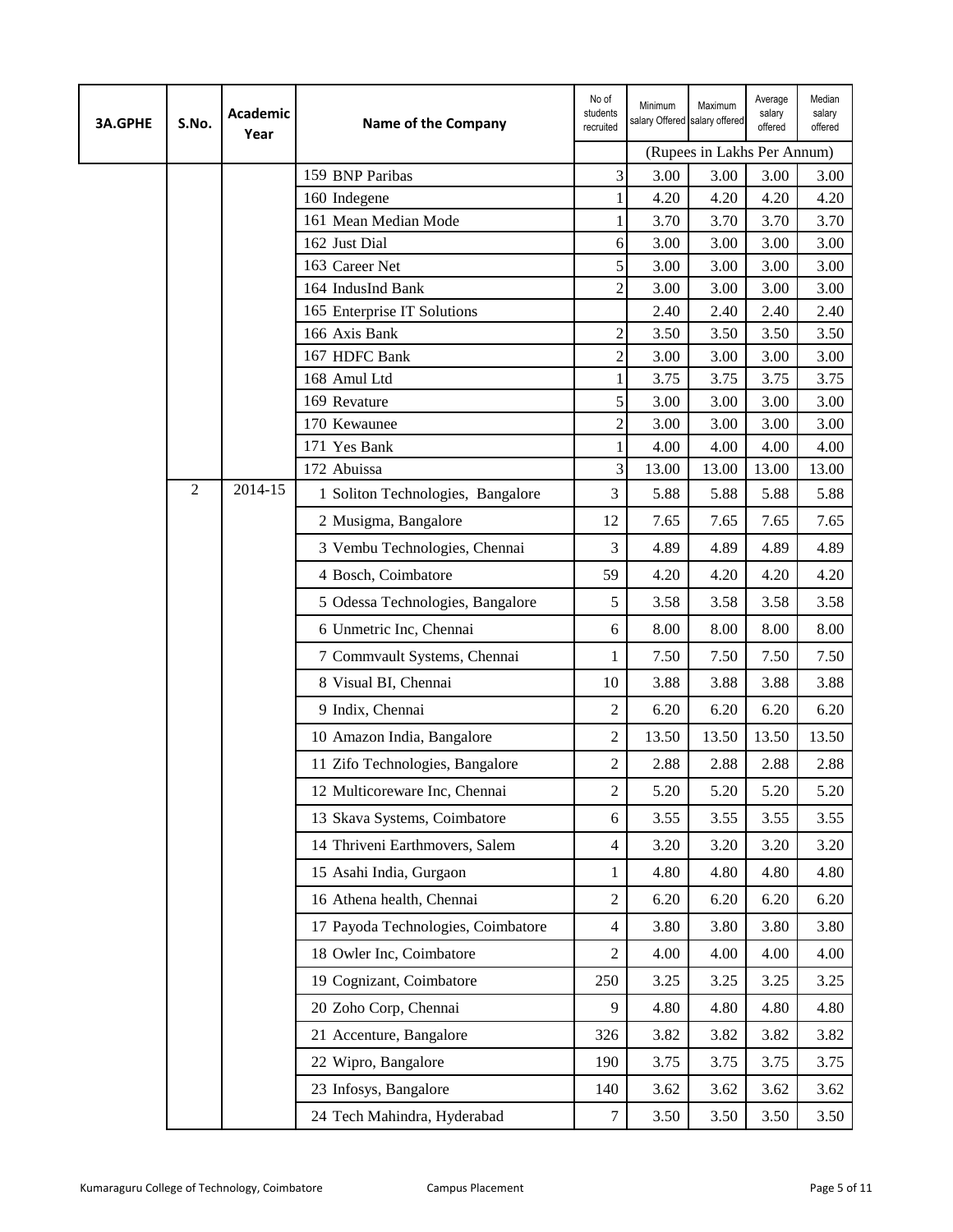| <b>3A.GPHE</b> | S.No.          | Academic<br>Year | <b>Name of the Company</b>          | No of<br>students<br>recruited | Minimum<br>salary Offered salary offered | Maximum                     | Average<br>salary<br>offered | Median<br>salary<br>offered |
|----------------|----------------|------------------|-------------------------------------|--------------------------------|------------------------------------------|-----------------------------|------------------------------|-----------------------------|
|                |                |                  |                                     |                                |                                          | (Rupees in Lakhs Per Annum) |                              |                             |
|                |                |                  | 159 BNP Paribas                     | $\overline{\mathbf{3}}$        | 3.00                                     | 3.00                        | 3.00                         | 3.00                        |
|                |                |                  | 160 Indegene                        |                                | 4.20                                     | 4.20                        | 4.20                         | 4.20                        |
|                |                |                  | 161 Mean Median Mode                |                                | 3.70                                     | 3.70                        | 3.70                         | 3.70                        |
|                |                |                  | 162 Just Dial                       | 6                              | 3.00                                     | 3.00                        | 3.00                         | 3.00                        |
|                |                |                  | 163 Career Net<br>164 IndusInd Bank | 5<br>$\overline{2}$            | 3.00<br>3.00                             | 3.00<br>3.00                | 3.00<br>3.00                 | 3.00<br>3.00                |
|                |                |                  | 165 Enterprise IT Solutions         |                                | 2.40                                     | 2.40                        | 2.40                         | 2.40                        |
|                |                |                  | 166 Axis Bank                       | $\overline{c}$                 | 3.50                                     | 3.50                        | 3.50                         | 3.50                        |
|                |                |                  | 167 HDFC Bank                       | $\overline{c}$                 | 3.00                                     | 3.00                        | 3.00                         | 3.00                        |
|                |                |                  | 168 Amul Ltd                        | 1                              | 3.75                                     | 3.75                        | 3.75                         | 3.75                        |
|                |                |                  | 169 Revature                        | 5                              | 3.00                                     | 3.00                        | 3.00                         | 3.00                        |
|                |                |                  | 170 Kewaunee                        | $\overline{c}$                 | 3.00                                     | 3.00                        | 3.00                         | 3.00                        |
|                |                |                  | 171 Yes Bank                        | 1                              | 4.00                                     | 4.00                        | 4.00                         | 4.00                        |
|                |                |                  | 172 Abuissa                         | 3                              | 13.00                                    | 13.00                       | 13.00                        | 13.00                       |
|                | $\overline{2}$ | 2014-15          | 1 Soliton Technologies, Bangalore   | 3                              | 5.88                                     | 5.88                        | 5.88                         | 5.88                        |
|                |                |                  | 2 Musigma, Bangalore                | 12                             | 7.65                                     | 7.65                        | 7.65                         | 7.65                        |
|                |                |                  | 3 Vembu Technologies, Chennai       | $\overline{3}$                 | 4.89                                     | 4.89                        | 4.89                         | 4.89                        |
|                |                |                  | 4 Bosch, Coimbatore                 | 59                             | 4.20                                     | 4.20                        | 4.20                         | 4.20                        |
|                |                |                  | 5 Odessa Technologies, Bangalore    | 5                              | 3.58                                     | 3.58                        | 3.58                         | 3.58                        |
|                |                |                  | 6 Unmetric Inc, Chennai             | 6                              | 8.00                                     | 8.00                        | 8.00                         | 8.00                        |
|                |                |                  | 7 Commvault Systems, Chennai        | 1                              | 7.50                                     | 7.50                        | 7.50                         | 7.50                        |
|                |                |                  | 8 Visual BI, Chennai                | 10                             | 3.88                                     | 3.88                        | 3.88                         | 3.88                        |
|                |                |                  | 9 Indix, Chennai                    | 2                              | 6.20                                     | 6.20                        | 6.20                         | 6.20                        |
|                |                |                  | 10 Amazon India, Bangalore          | $\overline{2}$                 | 13.50                                    | 13.50                       | 13.50                        | 13.50                       |
|                |                |                  | 11 Zifo Technologies, Bangalore     | 2                              | 2.88                                     | 2.88                        | 2.88                         | 2.88                        |
|                |                |                  | 12 Multicoreware Inc, Chennai       | $\overline{c}$                 | 5.20                                     | 5.20                        | 5.20                         | 5.20                        |
|                |                |                  | 13 Skava Systems, Coimbatore        | 6                              | 3.55                                     | 3.55                        | 3.55                         | 3.55                        |
|                |                |                  | 14 Thriveni Earthmovers, Salem      | $\overline{4}$                 | 3.20                                     | 3.20                        | 3.20                         | 3.20                        |
|                |                |                  | 15 Asahi India, Gurgaon             | 1                              | 4.80                                     | 4.80                        | 4.80                         | 4.80                        |
|                |                |                  | 16 Athena health, Chennai           | $\mathfrak{2}$                 | 6.20                                     | 6.20                        | 6.20                         | 6.20                        |
|                |                |                  | 17 Payoda Technologies, Coimbatore  | $\overline{4}$                 | 3.80                                     | 3.80                        | 3.80                         | 3.80                        |
|                |                |                  | 18 Owler Inc, Coimbatore            | $\overline{2}$                 | 4.00                                     | 4.00                        | 4.00                         | 4.00                        |
|                |                |                  | 19 Cognizant, Coimbatore            | 250                            | 3.25                                     | 3.25                        | 3.25                         | 3.25                        |
|                |                |                  | 20 Zoho Corp, Chennai               | 9                              | 4.80                                     | 4.80                        | 4.80                         | 4.80                        |
|                |                |                  | 21 Accenture, Bangalore             | 326                            | 3.82                                     | 3.82                        | 3.82                         | 3.82                        |
|                |                |                  | 22 Wipro, Bangalore                 | 190                            | 3.75                                     | 3.75                        | 3.75                         | 3.75                        |
|                |                |                  | 23 Infosys, Bangalore               | 140                            | 3.62                                     | 3.62                        | 3.62                         | 3.62                        |
|                |                |                  | 24 Tech Mahindra, Hyderabad         | $\tau$                         | 3.50                                     | 3.50                        | 3.50                         | 3.50                        |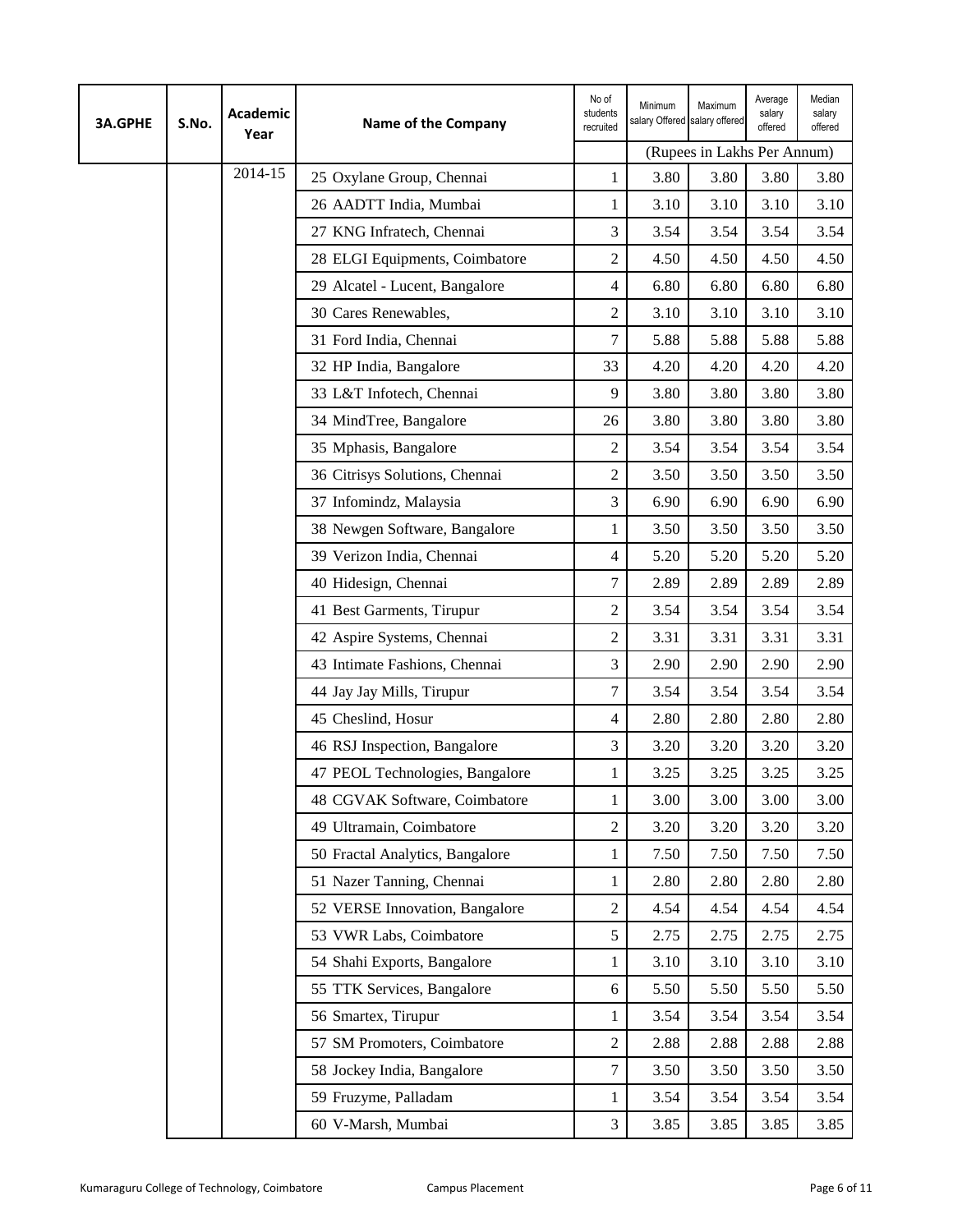| <b>3A.GPHE</b> | S.No. | Academic<br>Year | <b>Name of the Company</b>      | No of<br>students<br>recruited | Minimum<br>salary Offered salary offered | Maximum                     | Average<br>salary<br>offered | Median<br>salary<br>offered |
|----------------|-------|------------------|---------------------------------|--------------------------------|------------------------------------------|-----------------------------|------------------------------|-----------------------------|
|                |       |                  |                                 |                                |                                          | (Rupees in Lakhs Per Annum) |                              |                             |
|                |       | 2014-15          | 25 Oxylane Group, Chennai       | $\mathbf 1$                    | 3.80                                     | 3.80                        | 3.80                         | 3.80                        |
|                |       |                  | 26 AADTT India, Mumbai          | 1                              | 3.10                                     | 3.10                        | 3.10                         | 3.10                        |
|                |       |                  | 27 KNG Infratech, Chennai       | 3                              | 3.54                                     | 3.54                        | 3.54                         | 3.54                        |
|                |       |                  | 28 ELGI Equipments, Coimbatore  | $\overline{2}$                 | 4.50                                     | 4.50                        | 4.50                         | 4.50                        |
|                |       |                  | 29 Alcatel - Lucent, Bangalore  | $\overline{4}$                 | 6.80                                     | 6.80                        | 6.80                         | 6.80                        |
|                |       |                  | 30 Cares Renewables,            | $\overline{2}$                 | 3.10                                     | 3.10                        | 3.10                         | 3.10                        |
|                |       |                  | 31 Ford India, Chennai          | 7                              | 5.88                                     | 5.88                        | 5.88                         | 5.88                        |
|                |       |                  | 32 HP India, Bangalore          | 33                             | 4.20                                     | 4.20                        | 4.20                         | 4.20                        |
|                |       |                  | 33 L&T Infotech, Chennai        | 9                              | 3.80                                     | 3.80                        | 3.80                         | 3.80                        |
|                |       |                  | 34 MindTree, Bangalore          | 26                             | 3.80                                     | 3.80                        | 3.80                         | 3.80                        |
|                |       |                  | 35 Mphasis, Bangalore           | $\overline{2}$                 | 3.54                                     | 3.54                        | 3.54                         | 3.54                        |
|                |       |                  | 36 Citrisys Solutions, Chennai  | $\overline{2}$                 | 3.50                                     | 3.50                        | 3.50                         | 3.50                        |
|                |       |                  | 37 Infomindz, Malaysia          | 3                              | 6.90                                     | 6.90                        | 6.90                         | 6.90                        |
|                |       |                  | 38 Newgen Software, Bangalore   | 1                              | 3.50                                     | 3.50                        | 3.50                         | 3.50                        |
|                |       |                  | 39 Verizon India, Chennai       | $\overline{4}$                 | 5.20                                     | 5.20                        | 5.20                         | 5.20                        |
|                |       |                  | 40 Hidesign, Chennai            | 7                              | 2.89                                     | 2.89                        | 2.89                         | 2.89                        |
|                |       |                  | 41 Best Garments, Tirupur       | $\overline{2}$                 | 3.54                                     | 3.54                        | 3.54                         | 3.54                        |
|                |       |                  | 42 Aspire Systems, Chennai      | $\mathfrak{2}$                 | 3.31                                     | 3.31                        | 3.31                         | 3.31                        |
|                |       |                  | 43 Intimate Fashions, Chennai   | 3                              | 2.90                                     | 2.90                        | 2.90                         | 2.90                        |
|                |       |                  | 44 Jay Jay Mills, Tirupur       | $\tau$                         | 3.54                                     | 3.54                        | 3.54                         | 3.54                        |
|                |       |                  | 45 Cheslind, Hosur              | 4                              | 2.80                                     | 2.80                        | 2.80                         | 2.80                        |
|                |       |                  | 46 RSJ Inspection, Bangalore    | 3                              | 3.20                                     | 3.20                        | 3.20                         | 3.20                        |
|                |       |                  | 47 PEOL Technologies, Bangalore | 1                              | 3.25                                     | 3.25                        | 3.25                         | 3.25                        |
|                |       |                  | 48 CGVAK Software, Coimbatore   | $\mathbf 1$                    | 3.00                                     | 3.00                        | 3.00                         | 3.00                        |
|                |       |                  | 49 Ultramain, Coimbatore        | $\overline{2}$                 | 3.20                                     | 3.20                        | 3.20                         | 3.20                        |
|                |       |                  | 50 Fractal Analytics, Bangalore | 1                              | 7.50                                     | 7.50                        | 7.50                         | 7.50                        |
|                |       |                  | 51 Nazer Tanning, Chennai       | 1                              | 2.80                                     | 2.80                        | 2.80                         | 2.80                        |
|                |       |                  | 52 VERSE Innovation, Bangalore  | $\overline{c}$                 | 4.54                                     | 4.54                        | 4.54                         | 4.54                        |
|                |       |                  | 53 VWR Labs, Coimbatore         | 5                              | 2.75                                     | 2.75                        | 2.75                         | 2.75                        |
|                |       |                  | 54 Shahi Exports, Bangalore     | 1                              | 3.10                                     | 3.10                        | 3.10                         | 3.10                        |
|                |       |                  | 55 TTK Services, Bangalore      | 6                              | 5.50                                     | 5.50                        | 5.50                         | 5.50                        |
|                |       |                  | 56 Smartex, Tirupur             | 1                              | 3.54                                     | 3.54                        | 3.54                         | 3.54                        |
|                |       |                  | 57 SM Promoters, Coimbatore     | $\overline{2}$                 | 2.88                                     | 2.88                        | 2.88                         | 2.88                        |
|                |       |                  | 58 Jockey India, Bangalore      | $\overline{7}$                 | 3.50                                     | 3.50                        | 3.50                         | 3.50                        |
|                |       |                  | 59 Fruzyme, Palladam            | 1                              | 3.54                                     | 3.54                        | 3.54                         | 3.54                        |
|                |       |                  | 60 V-Marsh, Mumbai              | 3                              | 3.85                                     | 3.85                        | 3.85                         | 3.85                        |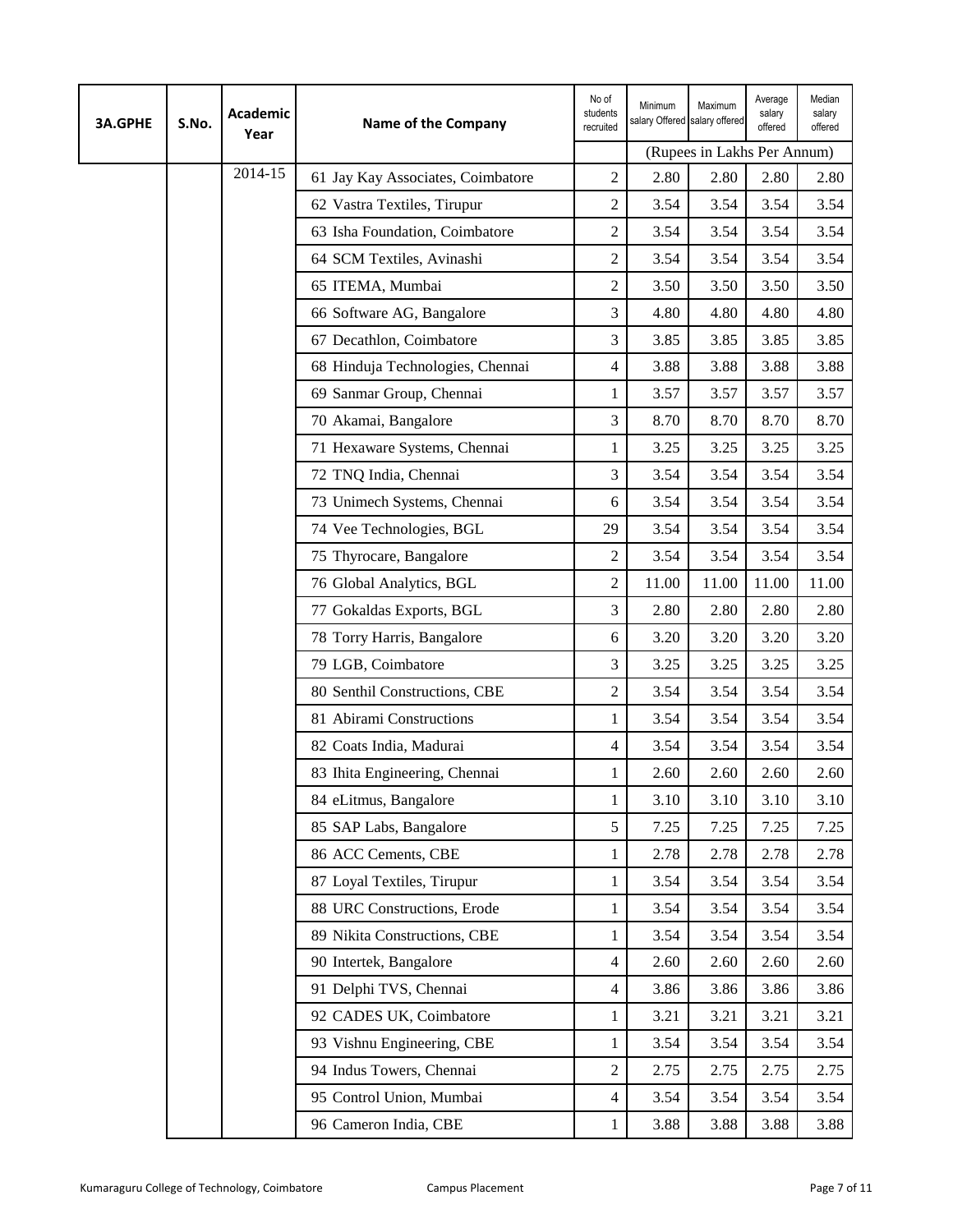| <b>3A.GPHE</b> | S.No. | Academic<br>Year | <b>Name of the Company</b>        | No of<br>students<br>recruited | Minimum<br>salary Offered salary offered | Maximum                     | Average<br>salary<br>offered | Median<br>salary<br>offered |
|----------------|-------|------------------|-----------------------------------|--------------------------------|------------------------------------------|-----------------------------|------------------------------|-----------------------------|
|                |       |                  |                                   |                                |                                          | (Rupees in Lakhs Per Annum) |                              |                             |
|                |       | 2014-15          | 61 Jay Kay Associates, Coimbatore | $\overline{2}$                 | 2.80                                     | 2.80                        | 2.80                         | 2.80                        |
|                |       |                  | 62 Vastra Textiles, Tirupur       | $\overline{2}$                 | 3.54                                     | 3.54                        | 3.54                         | 3.54                        |
|                |       |                  | 63 Isha Foundation, Coimbatore    | $\overline{c}$                 | 3.54                                     | 3.54                        | 3.54                         | 3.54                        |
|                |       |                  | 64 SCM Textiles, Avinashi         | $\overline{2}$                 | 3.54                                     | 3.54                        | 3.54                         | 3.54                        |
|                |       |                  | 65 ITEMA, Mumbai                  | $\overline{2}$                 | 3.50                                     | 3.50                        | 3.50                         | 3.50                        |
|                |       |                  | 66 Software AG, Bangalore         | 3                              | 4.80                                     | 4.80                        | 4.80                         | 4.80                        |
|                |       |                  | 67 Decathlon, Coimbatore          | 3                              | 3.85                                     | 3.85                        | 3.85                         | 3.85                        |
|                |       |                  | 68 Hinduja Technologies, Chennai  | 4                              | 3.88                                     | 3.88                        | 3.88                         | 3.88                        |
|                |       |                  | 69 Sanmar Group, Chennai          | 1                              | 3.57                                     | 3.57                        | 3.57                         | 3.57                        |
|                |       |                  | 70 Akamai, Bangalore              | 3                              | 8.70                                     | 8.70                        | 8.70                         | 8.70                        |
|                |       |                  | 71 Hexaware Systems, Chennai      | 1                              | 3.25                                     | 3.25                        | 3.25                         | 3.25                        |
|                |       |                  | 72 TNQ India, Chennai             | 3                              | 3.54                                     | 3.54                        | 3.54                         | 3.54                        |
|                |       |                  | 73 Unimech Systems, Chennai       | 6                              | 3.54                                     | 3.54                        | 3.54                         | 3.54                        |
|                |       |                  | 74 Vee Technologies, BGL          | 29                             | 3.54                                     | 3.54                        | 3.54                         | 3.54                        |
|                |       |                  | 75 Thyrocare, Bangalore           | $\overline{2}$                 | 3.54                                     | 3.54                        | 3.54                         | 3.54                        |
|                |       |                  | 76 Global Analytics, BGL          | $\overline{2}$                 | 11.00                                    | 11.00                       | 11.00                        | 11.00                       |
|                |       |                  | 77 Gokaldas Exports, BGL          | 3                              | 2.80                                     | 2.80                        | 2.80                         | 2.80                        |
|                |       |                  | 78 Torry Harris, Bangalore        | 6                              | 3.20                                     | 3.20                        | 3.20                         | 3.20                        |
|                |       |                  | 79 LGB, Coimbatore                | 3                              | 3.25                                     | 3.25                        | 3.25                         | 3.25                        |
|                |       |                  | 80 Senthil Constructions, CBE     | $\overline{c}$                 | 3.54                                     | 3.54                        | 3.54                         | 3.54                        |
|                |       |                  | 81 Abirami Constructions          | 1                              | 3.54                                     | 3.54                        | 3.54                         | 3.54                        |
|                |       |                  | 82 Coats India, Madurai           | 4                              | 3.54                                     | 3.54                        | 3.54                         | 3.54                        |
|                |       |                  | 83 Ihita Engineering, Chennai     | 1                              | 2.60                                     | 2.60                        | 2.60                         | 2.60                        |
|                |       |                  | 84 eLitmus, Bangalore             | $\mathbf 1$                    | 3.10                                     | 3.10                        | 3.10                         | 3.10                        |
|                |       |                  | 85 SAP Labs, Bangalore            | 5                              | 7.25                                     | 7.25                        | 7.25                         | 7.25                        |
|                |       |                  | 86 ACC Cements, CBE               | 1                              | 2.78                                     | 2.78                        | 2.78                         | 2.78                        |
|                |       |                  | 87 Loyal Textiles, Tirupur        | 1                              | 3.54                                     | 3.54                        | 3.54                         | 3.54                        |
|                |       |                  | 88 URC Constructions, Erode       | 1                              | 3.54                                     | 3.54                        | 3.54                         | 3.54                        |
|                |       |                  | 89 Nikita Constructions, CBE      | 1                              | 3.54                                     | 3.54                        | 3.54                         | 3.54                        |
|                |       |                  | 90 Intertek, Bangalore            | $\overline{4}$                 | 2.60                                     | 2.60                        | 2.60                         | 2.60                        |
|                |       |                  | 91 Delphi TVS, Chennai            | $\overline{4}$                 | 3.86                                     | 3.86                        | 3.86                         | 3.86                        |
|                |       |                  | 92 CADES UK, Coimbatore           | 1                              | 3.21                                     | 3.21                        | 3.21                         | 3.21                        |
|                |       |                  | 93 Vishnu Engineering, CBE        | 1                              | 3.54                                     | 3.54                        | 3.54                         | 3.54                        |
|                |       |                  | 94 Indus Towers, Chennai          | $\overline{2}$                 | 2.75                                     | 2.75                        | 2.75                         | 2.75                        |
|                |       |                  | 95 Control Union, Mumbai          | 4                              | 3.54                                     | 3.54                        | 3.54                         | 3.54                        |
|                |       |                  | 96 Cameron India, CBE             | 1                              | 3.88                                     | 3.88                        | 3.88                         | 3.88                        |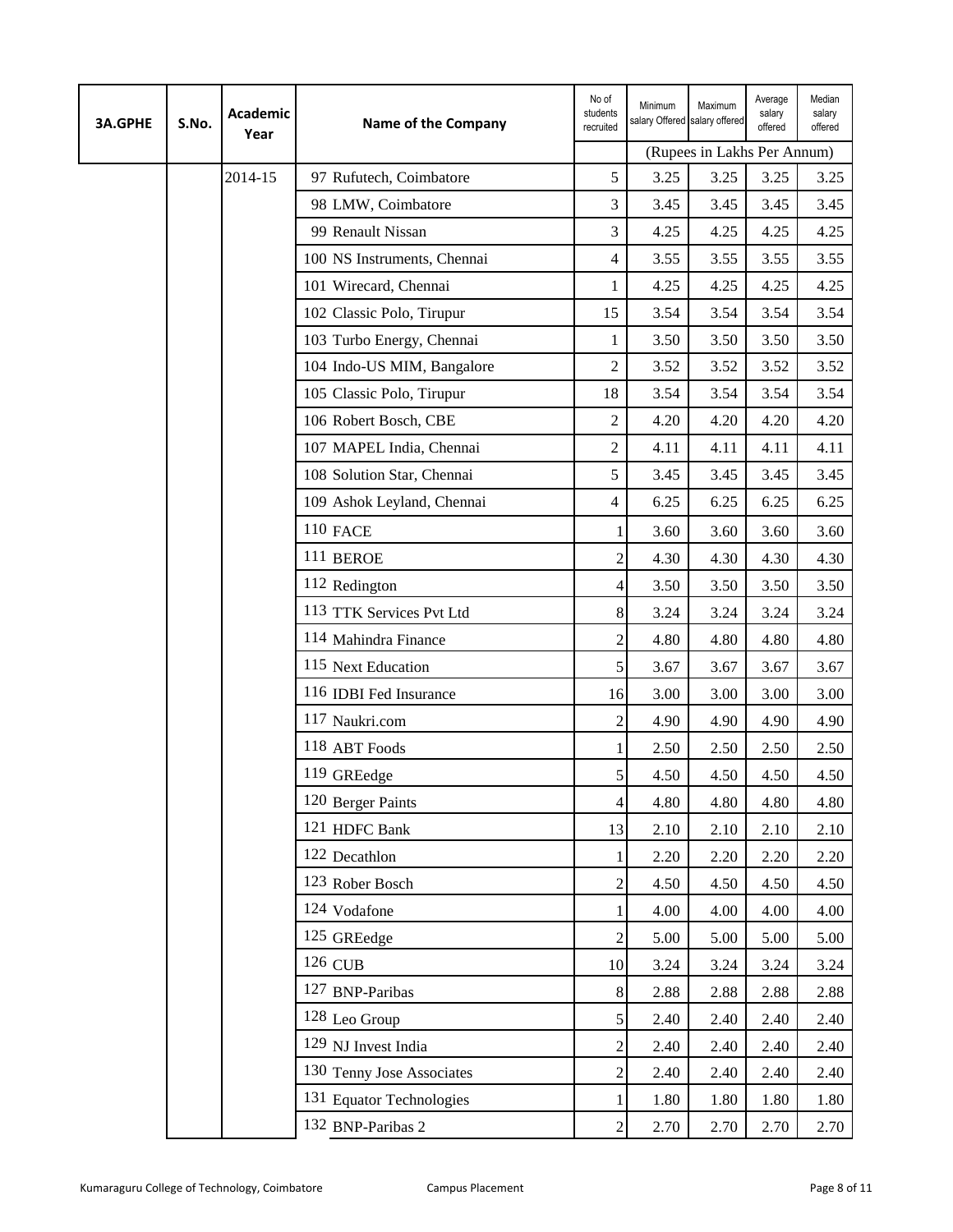| <b>3A.GPHE</b> | S.No. | <b>Academic</b><br>Year | <b>Name of the Company</b>  | No of<br>students<br>recruited | Minimum<br>salary Offered salary offered | Maximum                     | Average<br>salary<br>offered | Median<br>salary<br>offered |
|----------------|-------|-------------------------|-----------------------------|--------------------------------|------------------------------------------|-----------------------------|------------------------------|-----------------------------|
|                |       |                         |                             |                                |                                          | (Rupees in Lakhs Per Annum) |                              |                             |
|                |       | 2014-15                 | 97 Rufutech, Coimbatore     | 5                              | 3.25                                     | 3.25                        | 3.25                         | 3.25                        |
|                |       |                         | 98 LMW, Coimbatore          | 3                              | 3.45                                     | 3.45                        | 3.45                         | 3.45                        |
|                |       |                         | 99 Renault Nissan           | 3                              | 4.25                                     | 4.25                        | 4.25                         | 4.25                        |
|                |       |                         | 100 NS Instruments, Chennai | $\overline{4}$                 | 3.55                                     | 3.55                        | 3.55                         | 3.55                        |
|                |       |                         | 101 Wirecard, Chennai       | $\mathbf{1}$                   | 4.25                                     | 4.25                        | 4.25                         | 4.25                        |
|                |       |                         | 102 Classic Polo, Tirupur   | 15                             | 3.54                                     | 3.54                        | 3.54                         | 3.54                        |
|                |       |                         | 103 Turbo Energy, Chennai   | 1                              | 3.50                                     | 3.50                        | 3.50                         | 3.50                        |
|                |       |                         | 104 Indo-US MIM, Bangalore  | $\overline{c}$                 | 3.52                                     | 3.52                        | 3.52                         | 3.52                        |
|                |       |                         | 105 Classic Polo, Tirupur   | 18                             | 3.54                                     | 3.54                        | 3.54                         | 3.54                        |
|                |       |                         | 106 Robert Bosch, CBE       | $\overline{2}$                 | 4.20                                     | 4.20                        | 4.20                         | 4.20                        |
|                |       |                         | 107 MAPEL India, Chennai    | $\overline{2}$                 | 4.11                                     | 4.11                        | 4.11                         | 4.11                        |
|                |       |                         | 108 Solution Star, Chennai  | 5                              | 3.45                                     | 3.45                        | 3.45                         | 3.45                        |
|                |       |                         | 109 Ashok Leyland, Chennai  | $\overline{4}$                 | 6.25                                     | 6.25                        | 6.25                         | 6.25                        |
|                |       |                         | <b>110 FACE</b>             | 1                              | 3.60                                     | 3.60                        | 3.60                         | 3.60                        |
|                |       |                         | 111 BEROE                   | $\overline{c}$                 | 4.30                                     | 4.30                        | 4.30                         | 4.30                        |
|                |       |                         | 112 Redington               | 4                              | 3.50                                     | 3.50                        | 3.50                         | 3.50                        |
|                |       |                         | 113 TTK Services Pvt Ltd    | 8                              | 3.24                                     | 3.24                        | 3.24                         | 3.24                        |
|                |       |                         | 114 Mahindra Finance        | $\overline{c}$                 | 4.80                                     | 4.80                        | 4.80                         | 4.80                        |
|                |       |                         | 115 Next Education          | 5                              | 3.67                                     | 3.67                        | 3.67                         | 3.67                        |
|                |       |                         | 116 IDBI Fed Insurance      | 16                             | 3.00                                     | 3.00                        | 3.00                         | 3.00                        |
|                |       |                         | 117 Naukri.com              | $\overline{c}$                 | 4.90                                     | 4.90                        | 4.90                         | 4.90                        |
|                |       |                         | 118 ABT Foods               | 1                              | 2.50                                     | 2.50                        | 2.50                         | 2.50                        |
|                |       |                         | 119 GREedge                 | 5 <sup>1</sup>                 | 4.50                                     | 4.50                        | 4.50                         | 4.50                        |
|                |       |                         | 120 Berger Paints           | $\overline{4}$                 | 4.80                                     | 4.80                        | 4.80                         | 4.80                        |
|                |       |                         | 121 HDFC Bank               | 13                             | 2.10                                     | 2.10                        | 2.10                         | 2.10                        |
|                |       |                         | 122 Decathlon               |                                | 2.20                                     | 2.20                        | 2.20                         | 2.20                        |
|                |       |                         | 123 Rober Bosch             | $\sqrt{2}$                     | 4.50                                     | 4.50                        | 4.50                         | 4.50                        |
|                |       |                         | 124 Vodafone                | 1                              | 4.00                                     | 4.00                        | 4.00                         | 4.00                        |
|                |       |                         | 125 GREedge                 | $\overline{2}$                 | 5.00                                     | 5.00                        | 5.00                         | 5.00                        |
|                |       |                         | 126 CUB                     | 10                             | 3.24                                     | 3.24                        | 3.24                         | 3.24                        |
|                |       |                         | 127 BNP-Paribas             | 8                              | 2.88                                     | 2.88                        | 2.88                         | 2.88                        |
|                |       |                         | 128 Leo Group               | $\mathfrak{S}$                 | 2.40                                     | 2.40                        | 2.40                         | 2.40                        |
|                |       |                         | 129 NJ Invest India         | $\overline{c}$                 | 2.40                                     | 2.40                        | 2.40                         | 2.40                        |
|                |       |                         | 130 Tenny Jose Associates   | $\overline{c}$                 | 2.40                                     | 2.40                        | 2.40                         | 2.40                        |
|                |       |                         | 131 Equator Technologies    |                                | 1.80                                     | 1.80                        | 1.80                         | 1.80                        |
|                |       |                         | 132 BNP-Paribas 2           | $\sqrt{2}$                     | 2.70                                     | 2.70                        | 2.70                         | 2.70                        |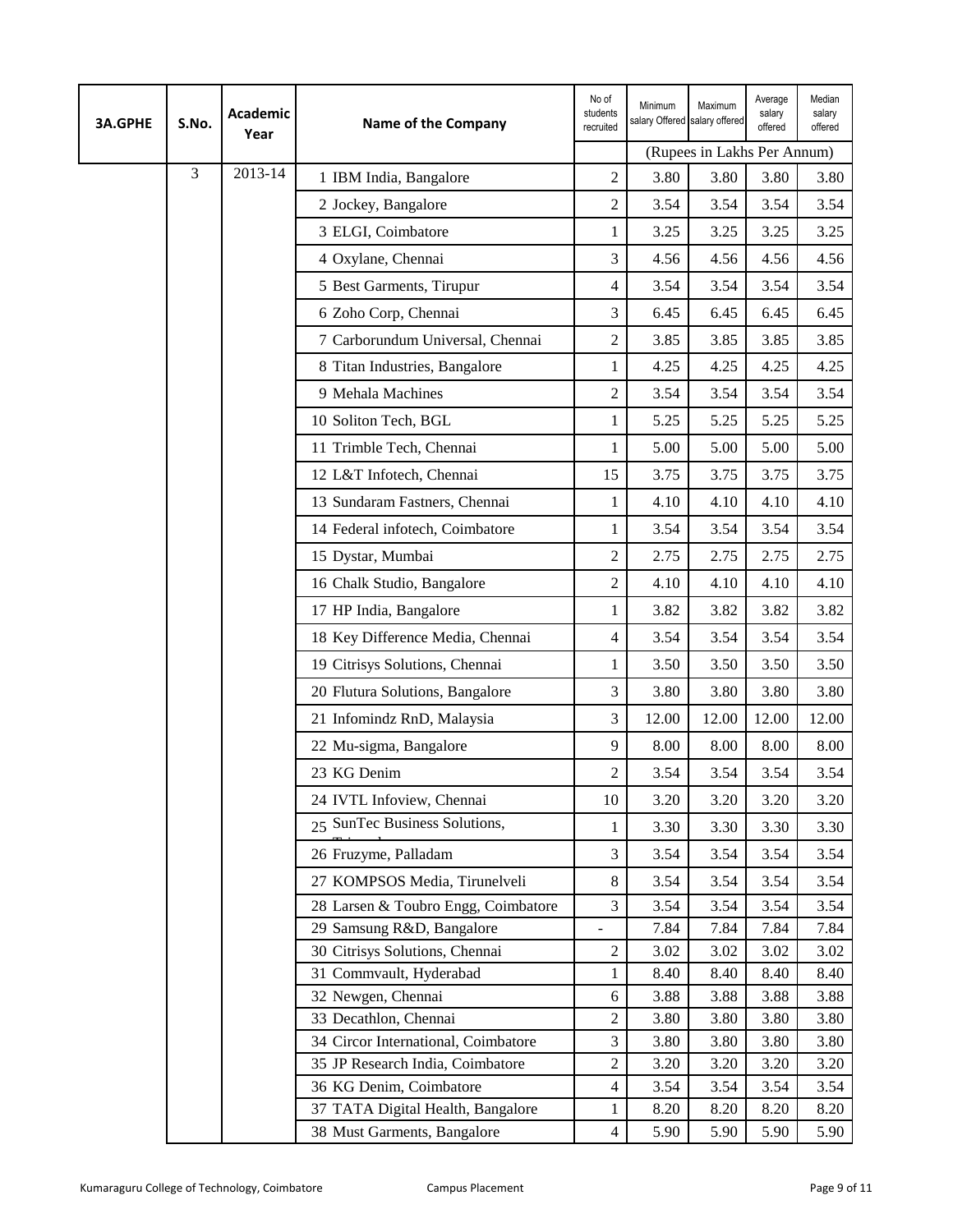| <b>3A.GPHE</b> | S.No. | <b>Academic</b><br>Year | <b>Name of the Company</b>                    | No of<br>students<br>recruited | Minimum<br>salary Offered salary offered | Maximum                     | Average<br>salary<br>offered | Median<br>salary<br>offered |
|----------------|-------|-------------------------|-----------------------------------------------|--------------------------------|------------------------------------------|-----------------------------|------------------------------|-----------------------------|
|                |       |                         |                                               |                                |                                          | (Rupees in Lakhs Per Annum) |                              |                             |
|                | 3     | 2013-14                 | 1 IBM India, Bangalore                        | $\overline{2}$                 | 3.80                                     | 3.80                        | 3.80                         | 3.80                        |
|                |       |                         | 2 Jockey, Bangalore                           | $\overline{c}$                 | 3.54                                     | 3.54                        | 3.54                         | 3.54                        |
|                |       |                         | 3 ELGI, Coimbatore                            | 1                              | 3.25                                     | 3.25                        | 3.25                         | 3.25                        |
|                |       |                         | 4 Oxylane, Chennai                            | 3                              | 4.56                                     | 4.56                        | 4.56                         | 4.56                        |
|                |       |                         | 5 Best Garments, Tirupur                      | $\overline{4}$                 | 3.54                                     | 3.54                        | 3.54                         | 3.54                        |
|                |       |                         | 6 Zoho Corp, Chennai                          | 3                              | 6.45                                     | 6.45                        | 6.45                         | 6.45                        |
|                |       |                         | 7 Carborundum Universal, Chennai              | $\overline{c}$                 | 3.85                                     | 3.85                        | 3.85                         | 3.85                        |
|                |       |                         | 8 Titan Industries, Bangalore                 | 1                              | 4.25                                     | 4.25                        | 4.25                         | 4.25                        |
|                |       |                         | 9 Mehala Machines                             | $\overline{c}$                 | 3.54                                     | 3.54                        | 3.54                         | 3.54                        |
|                |       |                         | 10 Soliton Tech, BGL                          | 1                              | 5.25                                     | 5.25                        | 5.25                         | 5.25                        |
|                |       |                         | 11 Trimble Tech, Chennai                      | 1                              | 5.00                                     | 5.00                        | 5.00                         | 5.00                        |
|                |       |                         | 12 L&T Infotech, Chennai                      | 15                             | 3.75                                     | 3.75                        | 3.75                         | 3.75                        |
|                |       |                         | 13 Sundaram Fastners, Chennai                 | 1                              | 4.10                                     | 4.10                        | 4.10                         | 4.10                        |
|                |       |                         | 14 Federal infotech, Coimbatore               | 1                              | 3.54                                     | 3.54                        | 3.54                         | 3.54                        |
|                |       |                         | 15 Dystar, Mumbai                             | $\overline{c}$                 | 2.75                                     | 2.75                        | 2.75                         | 2.75                        |
|                |       |                         | 16 Chalk Studio, Bangalore                    | $\overline{2}$                 | 4.10                                     | 4.10                        | 4.10                         | 4.10                        |
|                |       |                         | 17 HP India, Bangalore                        | 1                              | 3.82                                     | 3.82                        | 3.82                         | 3.82                        |
|                |       |                         | 18 Key Difference Media, Chennai              | 4                              | 3.54                                     | 3.54                        | 3.54                         | 3.54                        |
|                |       |                         | 19 Citrisys Solutions, Chennai                | 1                              | 3.50                                     | 3.50                        | 3.50                         | 3.50                        |
|                |       |                         | 20 Flutura Solutions, Bangalore               | 3                              | 3.80                                     | 3.80                        | 3.80                         | 3.80                        |
|                |       |                         | 21 Infomindz RnD, Malaysia                    | 3                              | 12.00                                    | 12.00                       | 12.00                        | 12.00                       |
|                |       |                         | 22 Mu-sigma, Bangalore                        | 9                              | 8.00                                     | 8.00                        | 8.00                         | 8.00                        |
|                |       |                         | 23 KG Denim                                   | $\overline{2}$                 | 3.54                                     | 3.54                        | 3.54                         | 3.54                        |
|                |       |                         | 24 IVTL Infoview, Chennai                     | 10                             | 3.20                                     | 3.20                        | 3.20                         | 3.20                        |
|                |       |                         | 25 SunTec Business Solutions,                 | 1                              | 3.30                                     | 3.30                        | 3.30                         | 3.30                        |
|                |       |                         | 26 Fruzyme, Palladam                          | 3                              | 3.54                                     | 3.54                        | 3.54                         | 3.54                        |
|                |       |                         | 27 KOMPSOS Media, Tirunelveli                 | $\,8\,$                        | 3.54                                     | 3.54                        | 3.54                         | 3.54                        |
|                |       |                         | 28 Larsen & Toubro Engg, Coimbatore           | 3                              | 3.54                                     | 3.54                        | 3.54                         | 3.54                        |
|                |       |                         | 29 Samsung R&D, Bangalore                     | $\blacksquare$                 | 7.84                                     | 7.84                        | 7.84                         | 7.84                        |
|                |       |                         | 30 Citrisys Solutions, Chennai                | $\overline{c}$                 | 3.02                                     | 3.02                        | 3.02                         | 3.02                        |
|                |       |                         | 31 Commvault, Hyderabad<br>32 Newgen, Chennai | 1<br>6                         | 8.40<br>3.88                             | 8.40<br>3.88                | 8.40<br>3.88                 | 8.40<br>3.88                |
|                |       |                         | 33 Decathlon, Chennai                         | $\sqrt{2}$                     | 3.80                                     | 3.80                        | 3.80                         | 3.80                        |
|                |       |                         | 34 Circor International, Coimbatore           | 3                              | 3.80                                     | 3.80                        | 3.80                         | 3.80                        |
|                |       |                         | 35 JP Research India, Coimbatore              | $\overline{c}$                 | 3.20                                     | 3.20                        | 3.20                         | 3.20                        |
|                |       |                         | 36 KG Denim, Coimbatore                       | $\overline{4}$                 | 3.54                                     | 3.54                        | 3.54                         | 3.54                        |
|                |       |                         | 37 TATA Digital Health, Bangalore             | 1                              | 8.20                                     | 8.20                        | 8.20                         | 8.20                        |
|                |       |                         | 38 Must Garments, Bangalore                   | $\overline{4}$                 | 5.90                                     | 5.90                        | 5.90                         | 5.90                        |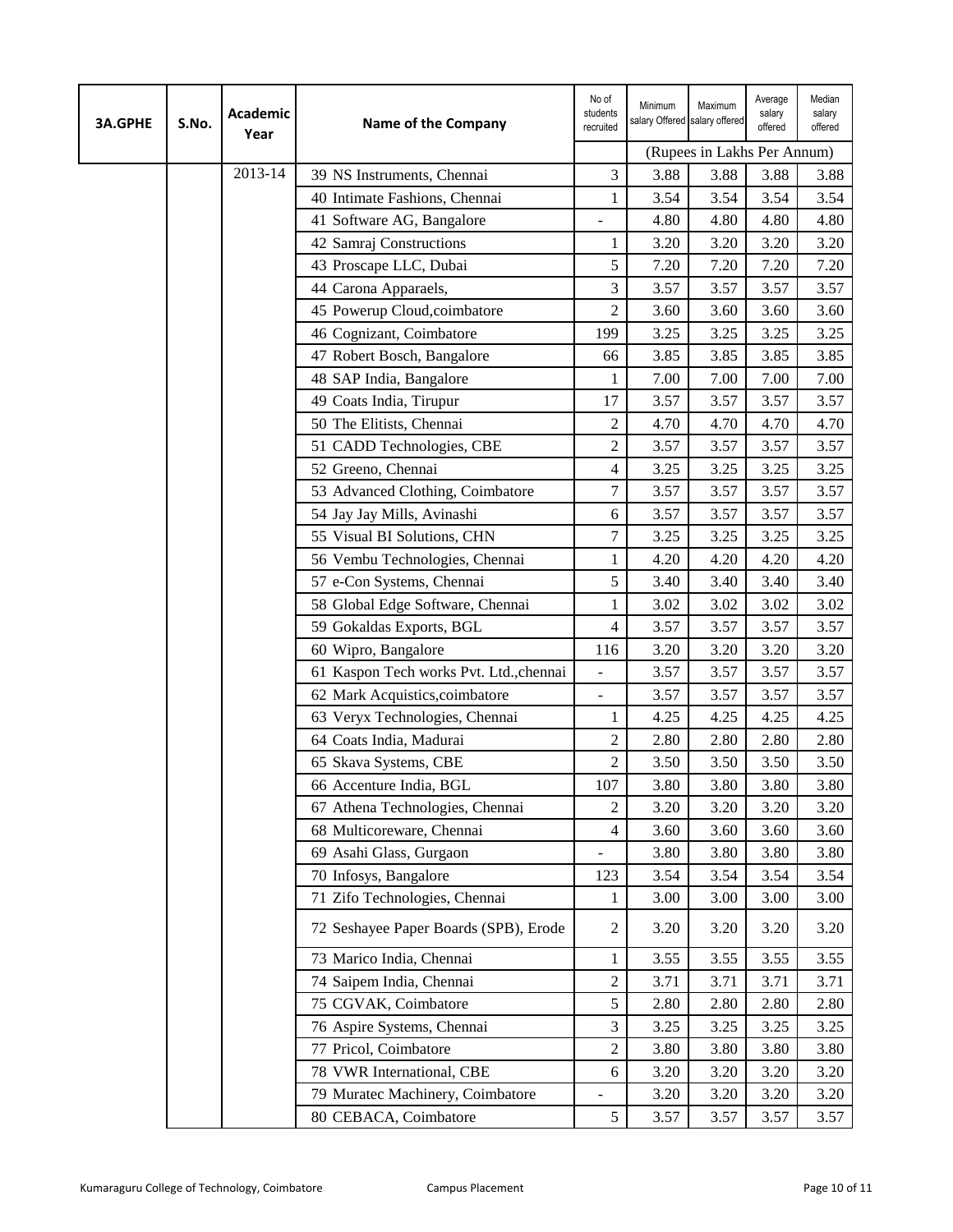| <b>3A.GPHE</b> | S.No. | <b>Academic</b><br>Year | Name of the Company                     | No of<br>students<br>recruited | Minimum<br>salary Offered salary offered | Maximum                     | Average<br>salary<br>offered | Median<br>salary<br>offered |
|----------------|-------|-------------------------|-----------------------------------------|--------------------------------|------------------------------------------|-----------------------------|------------------------------|-----------------------------|
|                |       |                         |                                         |                                |                                          | (Rupees in Lakhs Per Annum) |                              |                             |
|                |       | 2013-14                 | 39 NS Instruments, Chennai              | 3                              | 3.88                                     | 3.88                        | 3.88                         | 3.88                        |
|                |       |                         | 40 Intimate Fashions, Chennai           | 1                              | 3.54                                     | 3.54                        | 3.54                         | 3.54                        |
|                |       |                         | 41 Software AG, Bangalore               | $\overline{\phantom{0}}$       | 4.80                                     | 4.80                        | 4.80                         | 4.80                        |
|                |       |                         | 42 Samraj Constructions                 | 1                              | 3.20                                     | 3.20                        | 3.20                         | 3.20                        |
|                |       |                         | 43 Proscape LLC, Dubai                  | 5                              | 7.20                                     | 7.20                        | 7.20                         | 7.20                        |
|                |       |                         | 44 Carona Apparaels,                    | 3                              | 3.57                                     | 3.57                        | 3.57                         | 3.57                        |
|                |       |                         | 45 Powerup Cloud, coimbatore            | $\overline{2}$                 | 3.60                                     | 3.60                        | 3.60                         | 3.60                        |
|                |       |                         | 46 Cognizant, Coimbatore                | 199                            | 3.25                                     | 3.25                        | 3.25                         | 3.25                        |
|                |       |                         | 47 Robert Bosch, Bangalore              | 66                             | 3.85                                     | 3.85                        | 3.85                         | 3.85                        |
|                |       |                         | 48 SAP India, Bangalore                 | 1                              | 7.00                                     | 7.00                        | 7.00                         | 7.00                        |
|                |       |                         | 49 Coats India, Tirupur                 | 17                             | 3.57                                     | 3.57                        | 3.57                         | 3.57                        |
|                |       |                         | 50 The Elitists, Chennai                | $\overline{c}$                 | 4.70                                     | 4.70                        | 4.70                         | 4.70                        |
|                |       |                         | 51 CADD Technologies, CBE               | $\overline{c}$                 | 3.57                                     | 3.57                        | 3.57                         | 3.57                        |
|                |       |                         | 52 Greeno, Chennai                      | 4                              | 3.25                                     | 3.25                        | 3.25                         | 3.25                        |
|                |       |                         | 53 Advanced Clothing, Coimbatore        | $\overline{7}$                 | 3.57                                     | 3.57                        | 3.57                         | 3.57                        |
|                |       |                         | 54 Jay Jay Mills, Avinashi              | 6                              | 3.57                                     | 3.57                        | 3.57                         | 3.57                        |
|                |       |                         | 55 Visual BI Solutions, CHN             | 7                              | 3.25                                     | 3.25                        | 3.25                         | 3.25                        |
|                |       |                         | 56 Vembu Technologies, Chennai          | 1                              | 4.20                                     | 4.20                        | 4.20                         | 4.20                        |
|                |       |                         | 57 e-Con Systems, Chennai               | 5                              | 3.40                                     | 3.40                        | 3.40                         | 3.40                        |
|                |       |                         | 58 Global Edge Software, Chennai        | 1                              | 3.02                                     | 3.02                        | 3.02                         | 3.02                        |
|                |       |                         | 59 Gokaldas Exports, BGL                | 4                              | 3.57                                     | 3.57                        | 3.57                         | 3.57                        |
|                |       |                         | 60 Wipro, Bangalore                     | 116                            | 3.20                                     | 3.20                        | 3.20                         | 3.20                        |
|                |       |                         | 61 Kaspon Tech works Pvt. Ltd., chennai | -                              | 3.57                                     | 3.57                        | 3.57                         | 3.57                        |
|                |       |                         | 62 Mark Acquistics, coimbatore          | $\overline{\phantom{a}}$       | 3.57                                     | 3.57                        | 3.57                         | 3.57                        |
|                |       |                         | 63 Veryx Technologies, Chennai          | 1                              | 4.25                                     | 4.25                        | 4.25                         | 4.25                        |
|                |       |                         | 64 Coats India, Madurai                 | $\mathfrak{2}$                 | 2.80                                     | 2.80                        | 2.80                         | 2.80                        |
|                |       |                         | 65 Skava Systems, CBE                   | $\overline{c}$                 | 3.50                                     | 3.50                        | 3.50                         | 3.50                        |
|                |       |                         | 66 Accenture India, BGL                 | 107                            | 3.80                                     | 3.80                        | 3.80                         | 3.80                        |
|                |       |                         | 67 Athena Technologies, Chennai         | 2                              | 3.20                                     | 3.20                        | 3.20                         | 3.20                        |
|                |       |                         | 68 Multicoreware, Chennai               | 4                              | 3.60                                     | 3.60                        | 3.60                         | 3.60                        |
|                |       |                         | 69 Asahi Glass, Gurgaon                 | $\qquad \qquad \blacksquare$   | 3.80                                     | 3.80                        | 3.80                         | 3.80                        |
|                |       |                         | 70 Infosys, Bangalore                   | 123                            | 3.54                                     | 3.54                        | 3.54                         | 3.54                        |
|                |       |                         | 71 Zifo Technologies, Chennai           | 1                              | 3.00                                     | 3.00                        | 3.00                         | 3.00                        |
|                |       |                         | 72 Seshayee Paper Boards (SPB), Erode   | 2                              | 3.20                                     | 3.20                        | 3.20                         | 3.20                        |
|                |       |                         | 73 Marico India, Chennai                | 1                              | 3.55                                     | 3.55                        | 3.55                         | 3.55                        |
|                |       |                         | 74 Saipem India, Chennai                | 2                              | 3.71                                     | 3.71                        | 3.71                         | 3.71                        |
|                |       |                         | 75 CGVAK, Coimbatore                    | 5                              | 2.80                                     | 2.80                        | 2.80                         | 2.80                        |
|                |       |                         | 76 Aspire Systems, Chennai              | 3                              | 3.25                                     | 3.25                        | 3.25                         | 3.25                        |
|                |       |                         | 77 Pricol, Coimbatore                   | $\sqrt{2}$                     | 3.80                                     | 3.80                        | 3.80                         | 3.80                        |
|                |       |                         | 78 VWR International, CBE               | 6                              | 3.20                                     | 3.20                        | 3.20                         | 3.20                        |
|                |       |                         | 79 Muratec Machinery, Coimbatore        | $\qquad \qquad \blacksquare$   | 3.20                                     | 3.20                        | 3.20                         | 3.20                        |
|                |       |                         | 80 CEBACA, Coimbatore                   | 5                              | 3.57                                     | 3.57                        | 3.57                         | 3.57                        |